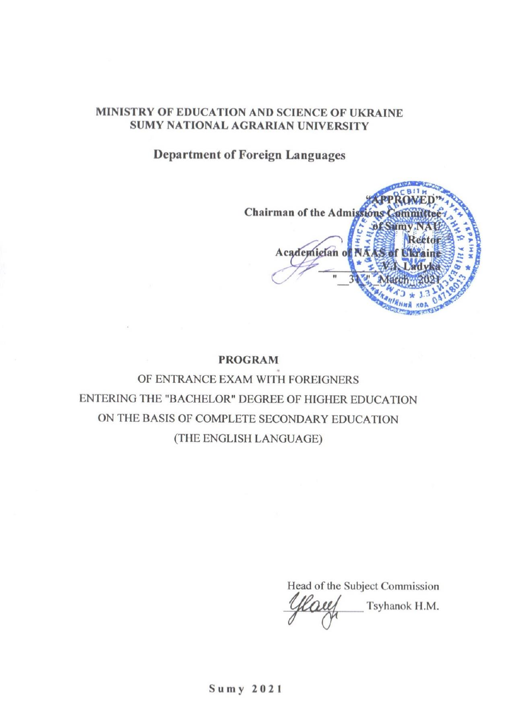#### MINISTRY OF EDUCATION AND SCIENCE OF UKRAINE SUMY NATIONAL AGRARIAN UNIVERSITY

**Department of Foreign Languages** 

Chairman of the Admissions Academician of P

#### **PROGRAM**

OF ENTRANCE EXAM WITH FOREIGNERS ENTERING THE "BACHELOR" DEGREE OF HIGHER EDUCATION ON THE BASIS OF COMPLETE SECONDARY EDUCATION (THE ENGLISH LANGUAGE)

Head of the Subject Commission Tsyhanok H.M.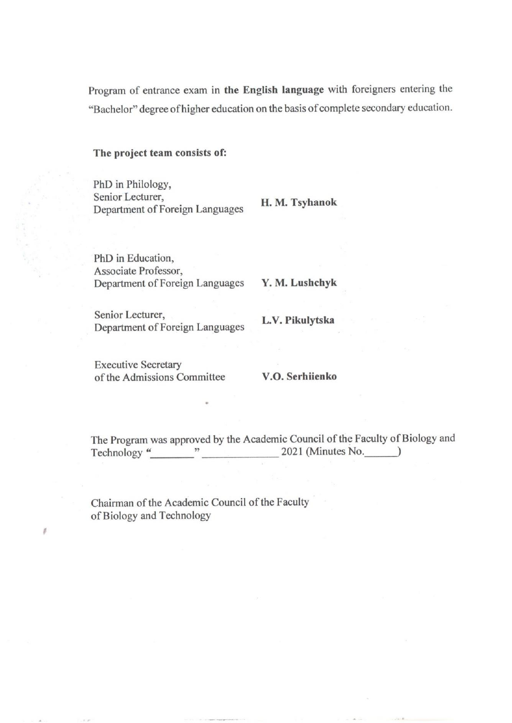Program of entrance exam in the English language with foreigners entering the "Bachelor" degree of higher education on the basis of complete secondary education.

#### The project team consists of:

PhD in Philology, Senior Lecturer, Department of Foreign Languages

H. M. Tsyhanok

PhD in Education, Associate Professor, Department of Foreign Languages

Y. M. Lushchyk

Senior Lecturer, Department of Foreign Languages

L.V. Pikulytska

**Executive Secretary** of the Admissions Committee

 $\overline{z}$ 

#### V.O. Serhiienko

The Program was approved by the Academic Council of the Faculty of Biology and Technology "  $2021$  (Minutes No.  $\qquad)$ 

Chairman of the Academic Council of the Faculty of Biology and Technology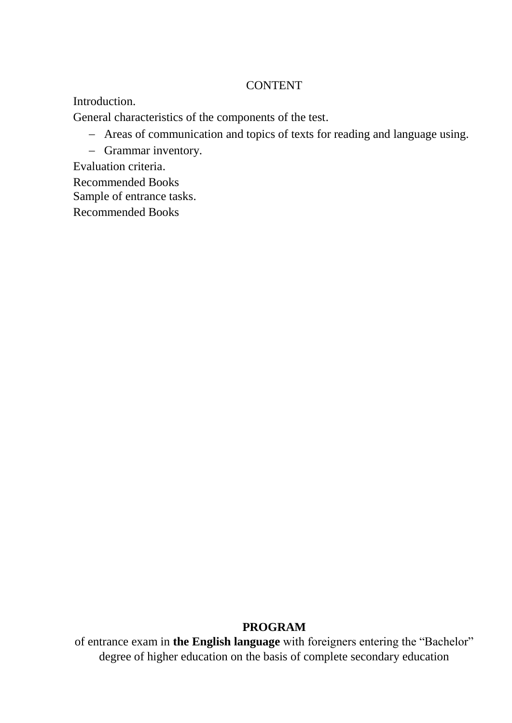#### **CONTENT**

Introduction.

General characteristics of the components of the test.

- Areas of communication and topics of texts for reading and language using.
- Grammar inventory.

Evaluation criteria.

Recommended Books

Sample of entrance tasks.

Recommended Books

#### **PROGRAM**

of entrance exam in **the English language** with foreigners entering the "Bachelor" degree of higher education on the basis of complete secondary education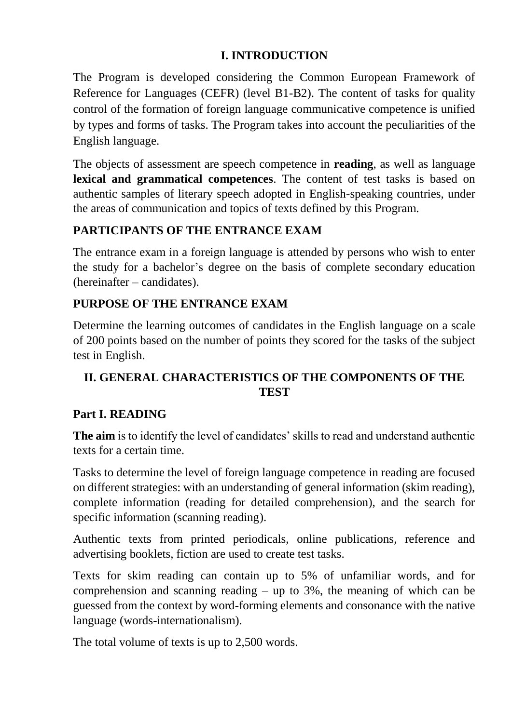### **I. INTRODUCTION**

The Program is developed considering the Common European Framework of Reference for Languages (CEFR) (level B1-B2). The content of tasks for quality control of the formation of foreign language communicative competence is unified by types and forms of tasks. The Program takes into account the peculiarities of the English language.

The objects of assessment are speech competence in **reading**, as well as language **lexical and grammatical competences**. The content of test tasks is based on authentic samples of literary speech adopted in English-speaking countries, under the areas of communication and topics of texts defined by this Program.

# **PARTICIPANTS OF THE ENTRANCE EXAM**

The entrance exam in a foreign language is attended by persons who wish to enter the study for a bachelor's degree on the basis of complete secondary education (hereinafter – candidates).

# **PURPOSE OF THE ENTRANCE EXAM**

Determine the learning outcomes of candidates in the English language on a scale of 200 points based on the number of points they scored for the tasks of the subject test in English.

# **II. GENERAL CHARACTERISTICS OF THE COMPONENTS OF THE TEST**

# **Part I. READING**

**The aim** is to identify the level of candidates' skills to read and understand authentic texts for a certain time.

Tasks to determine the level of foreign language competence in reading are focused on different strategies: with an understanding of general information (skim reading), complete information (reading for detailed comprehension), and the search for specific information (scanning reading).

Authentic texts from printed periodicals, online publications, reference and advertising booklets, fiction are used to create test tasks.

Texts for skim reading can contain up to 5% of unfamiliar words, and for comprehension and scanning reading  $-$  up to 3%, the meaning of which can be guessed from the context by word-forming elements and consonance with the native language (words-internationalism).

The total volume of texts is up to 2,500 words.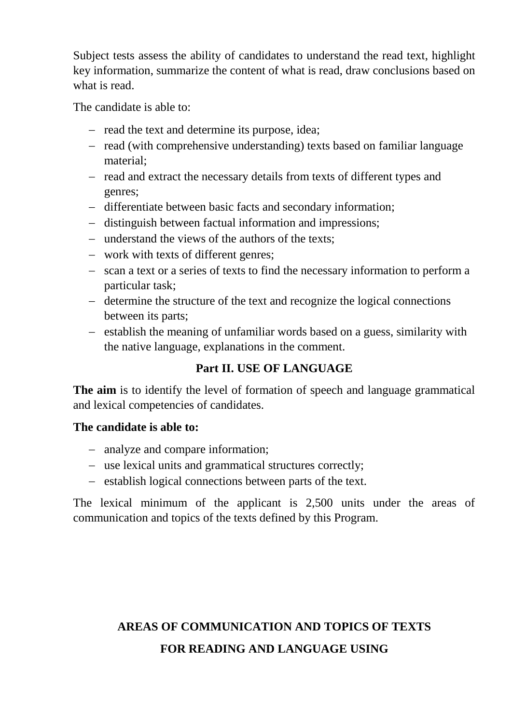Subject tests assess the ability of candidates to understand the read text, highlight key information, summarize the content of what is read, draw conclusions based on what is read.

The candidate is able to:

- read the text and determine its purpose, idea;
- read (with comprehensive understanding) texts based on familiar language material;
- read and extract the necessary details from texts of different types and genres;
- differentiate between basic facts and secondary information;
- distinguish between factual information and impressions;
- understand the views of the authors of the texts;
- work with texts of different genres;
- scan a text or a series of texts to find the necessary information to perform a particular task;
- determine the structure of the text and recognize the logical connections between its parts;
- establish the meaning of unfamiliar words based on a guess, similarity with the native language, explanations in the comment.

# **Part II. USE OF LANGUAGE**

**The aim** is to identify the level of formation of speech and language grammatical and lexical competencies of candidates.

#### **The candidate is able to:**

- analyze and compare information;
- use lexical units and grammatical structures correctly;
- establish logical connections between parts of the text.

The lexical minimum of the applicant is 2,500 units under the areas of communication and topics of the texts defined by this Program.

# **AREAS OF COMMUNICATION AND TOPICS OF TEXTS FOR READING AND LANGUAGE USING**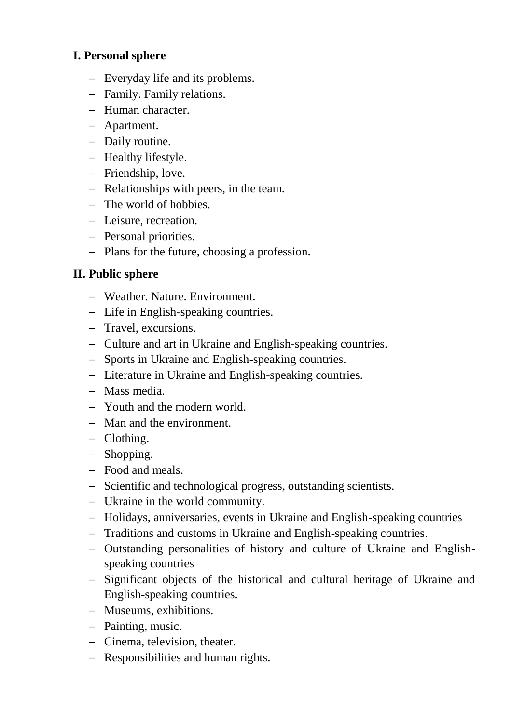#### **I. Personal sphere**

- Everyday life and its problems.
- Family. Family relations.
- Human character.
- Apartment.
- Daily routine.
- Healthy lifestyle.
- Friendship, love.
- Relationships with peers, in the team.
- The world of hobbies.
- Leisure, recreation.
- Personal priorities.
- Plans for the future, choosing a profession.

#### **II. Public sphere**

- Weather. Nature. Environment.
- Life in English-speaking countries.
- Travel, excursions.
- Culture and art in Ukraine and English-speaking countries.
- Sports in Ukraine and English-speaking countries.
- Literature in Ukraine and English-speaking countries.
- Mass media.
- Youth and the modern world.
- Man and the environment.
- Clothing.
- Shopping.
- Food and meals.
- Scientific and technological progress, outstanding scientists.
- Ukraine in the world community.
- Holidays, anniversaries, events in Ukraine and English-speaking countries
- Traditions and customs in Ukraine and English-speaking countries.
- Outstanding personalities of history and culture of Ukraine and Englishspeaking countries
- Significant objects of the historical and cultural heritage of Ukraine and English-speaking countries.
- Museums, exhibitions.
- Painting, music.
- Cinema, television, theater.
- Responsibilities and human rights.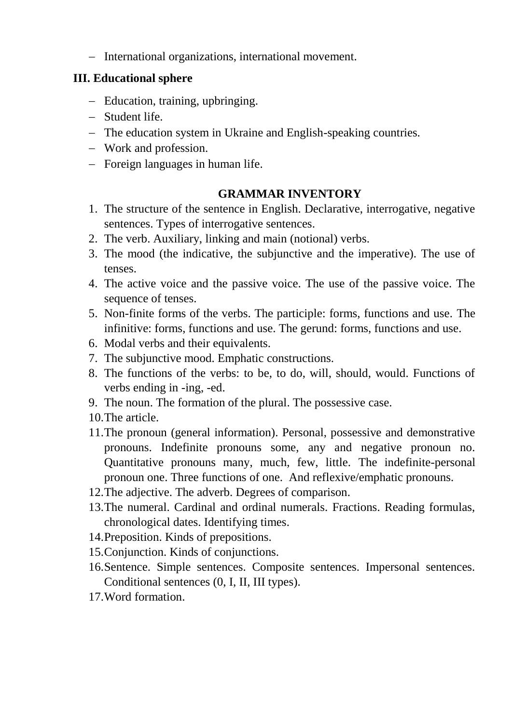- International organizations, international movement.

### **III. Educational sphere**

- Education, training, upbringing.
- Student life.
- The education system in Ukraine and English-speaking countries.
- Work and profession.
- Foreign languages in human life.

# **GRAMMAR INVENTORY**

- 1. The structure of the sentence in English. Declarative, interrogative, negative sentences. Types of interrogative sentences.
- 2. The verb. Auxiliary, linking and main (notional) verbs.
- 3. The mood (the indicative, the subjunctive and the imperative). The use of tenses.
- 4. The active voice and the passive voice. The use of the passive voice. The sequence of tenses.
- 5. Non-finite forms of the verbs. The participle: forms, functions and use. The infinitive: forms, functions and use. The gerund: forms, functions and use.
- 6. Modal verbs and their equivalents.
- 7. The subjunctive mood. Emphatic constructions.
- 8. The functions of the verbs: to be, to do, will, should, would. Functions of verbs ending in -ing, -ed.
- 9. The noun. The formation of the plural. The possessive case.
- 10.The article.
- 11.The pronoun (general information). Personal, possessive and demonstrative pronouns. Indefinite pronouns some, any and negative pronoun no. Quantitative pronouns many, much, few, little. The indefinite-personal pronoun one. Three functions of one. And reflexive/emphatic pronouns.
- 12.The adjective. The adverb. Degrees of comparison.
- 13.The numeral. Cardinal and ordinal numerals. Fractions. Reading formulas, chronological dates. Identifying times.
- 14.Preposition. Kinds of prepositions.
- 15.Conjunction. Kinds of conjunctions.
- 16.Sentence. Simple sentences. Composite sentences. Impersonal sentences. Conditional sentences (0, I, II, III types).
- 17.Word formation.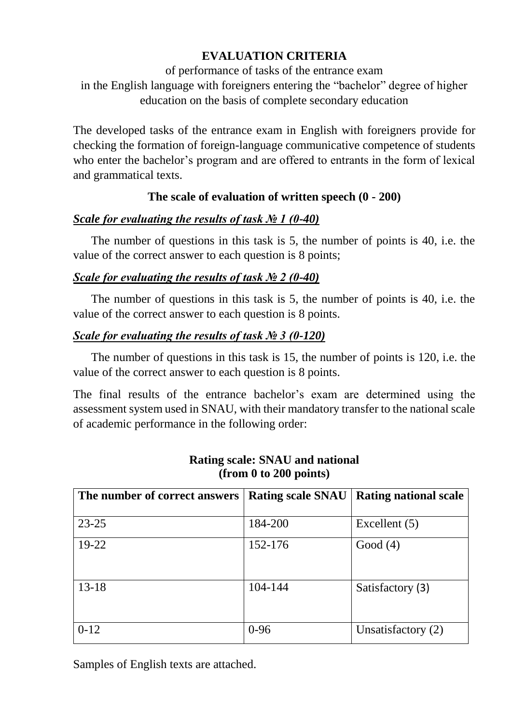# **EVALUATION CRITERIA**

of performance of tasks of the entrance exam in the English language with foreigners entering the "bachelor" degree of higher education on the basis of complete secondary education

The developed tasks of the entrance exam in English with foreigners provide for checking the formation of foreign-language communicative competence of students who enter the bachelor's program and are offered to entrants in the form of lexical and grammatical texts.

# **The scale of evaluation of written speech (0 - 200)**

# *Scale for evaluating the results of task № 1 (0-40)*

 The number of questions in this task is 5, the number of points is 40, i.e. the value of the correct answer to each question is 8 points;

# *Scale for evaluating the results of task № 2 (0-40)*

 The number of questions in this task is 5, the number of points is 40, i.e. the value of the correct answer to each question is 8 points.

# *Scale for evaluating the results of task № 3 (0-120)*

 The number of questions in this task is 15, the number of points is 120, i.e. the value of the correct answer to each question is 8 points.

The final results of the entrance bachelor's exam are determined using the assessment system used in SNAU, with their mandatory transfer to the national scale of academic performance in the following order:

| The number of correct answers | <b>Rating scale SNAU</b> | <b>Rating national scale</b> |
|-------------------------------|--------------------------|------------------------------|
| $23 - 25$                     | 184-200                  | Excellent (5)                |
| $19 - 22$                     | 152-176                  | Good $(4)$                   |
| $13 - 18$                     | 104-144                  | Satisfactory (3)             |
| $0-12$                        | $0 - 96$                 | Unsatisfactory (2)           |

#### **Rating scale: SNAU and national (from 0 to 200 points)**

Samples of English texts are attached.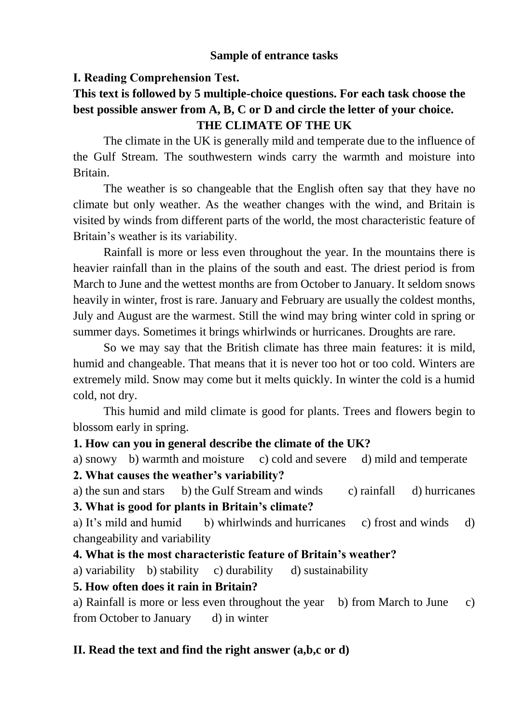#### **Sample of entrance tasks**

#### **І. Reading Comprehension Test.**

# **This text is followed by 5 multiple-choice questions. For each task choose the best possible answer from A, B, C or D and circle the letter of your choice. THE CLIMATE OF THE UK**

The climate in the UK is generally mild and temperate due to the influence of the Gulf Stream. The southwestern winds carry the warmth and moisture into Britain.

The weather is so changeable that the English often say that they have no climate but only weather. As the weather changes with the wind, and Britain is visited by winds from different parts of the world, the most characteristic feature of Britain's weather is its variability.

Rainfall is more or less even throughout the year. In the mountains there is heavier rainfall than in the plains of the south and east. The driest period is from March to June and the wettest months are from October to January. It seldom snows heavily in winter, frost is rare. January and February are usually the coldest months, July and August are the warmest. Still the wind may bring winter cold in spring or summer days. Sometimes it brings whirlwinds or hurricanes. Droughts are rare.

So we may say that the British climate has three main features: it is mild, humid and changeable. That means that it is never too hot or too cold. Winters are extremely mild. Snow may come but it melts quickly. In winter the cold is a humid cold, not dry.

This humid and mild climate is good for plants. Trees and flowers begin to blossom early in spring.

#### **1. How can you in general describe the climate of the UK?**

a) snowy b) warmth and moisture c) cold and severe d) mild and temperate

**2. What causes the weather's variability?**

a) the sun and stars b) the Gulf Stream and winds c) rainfall d) hurricanes

**3. What is good for plants in Britain's climate?**

a) It's mild and humid b) whirlwinds and hurricanes c) frost and winds d) changeability and variability

# **4. What is the most characteristic feature of Britain's weather?**

a) variability b) stability c) durability d) sustainability

#### **5. How often does it rain in Britain?**

a) Rainfall is more or less even throughout the year b) from March to June c) from October to January d) in winter

# **II. Read the text and find the right answer (a,b,c or d)**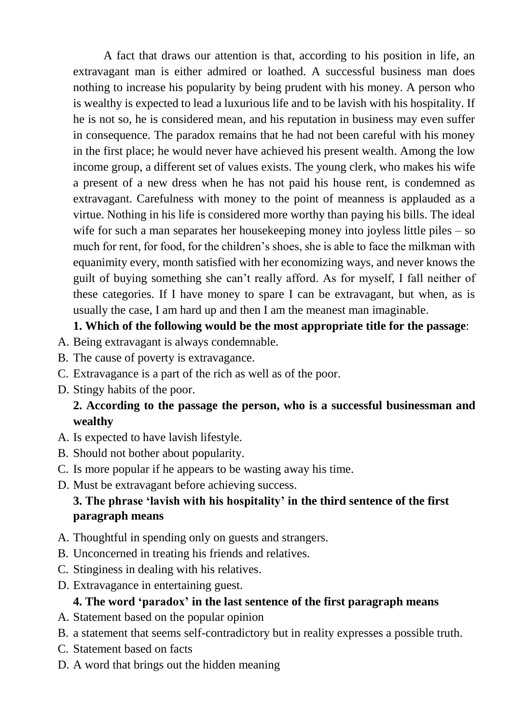A fact that draws our attention is that, according to his position in life, an extravagant man is either admired or loathed. A successful business man does nothing to increase his popularity by being prudent with his money. A person who is wealthy is expected to lead a luxurious life and to be lavish with his hospitality. If he is not so, he is considered mean, and his reputation in business may even suffer in consequence. The paradox remains that he had not been careful with his money in the first place; he would never have achieved his present wealth. Among the low income group, a different set of values exists. The young clerk, who makes his wife a present of a new dress when he has not paid his house rent, is condemned as extravagant. Carefulness with money to the point of meanness is applauded as a virtue. Nothing in his life is considered more worthy than paying his bills. The ideal wife for such a man separates her house keeping money into joyless little piles – so much for rent, for food, for the children's shoes, she is able to face the milkman with equanimity every, month satisfied with her economizing ways, and never knows the guilt of buying something she can't really afford. As for myself, I fall neither of these categories. If I have money to spare I can be extravagant, but when, as is usually the case, I am hard up and then I am the meanest man imaginable.

### **1. Which of the following would be the most appropriate title for the passage**:

- A. Being extravagant is always condemnable.
- B. The cause of poverty is extravagance.
- C. Extravagance is a part of the rich as well as of the poor.
- D. Stingy habits of the poor.

# **2. According to the passage the person, who is a successful businessman and wealthy**

- A. Is expected to have lavish lifestyle.
- B. Should not bother about popularity.
- C. Is more popular if he appears to be wasting away his time.
- D. Must be extravagant before achieving success.

# **3. The phrase 'lavish with his hospitality' in the third sentence of the first paragraph means**

- A. Thoughtful in spending only on guests and strangers.
- B. Unconcerned in treating his friends and relatives.
- C. Stinginess in dealing with his relatives.
- D. Extravagance in entertaining guest.

#### **4. The word 'paradox' in the last sentence of the first paragraph means**

- A. Statement based on the popular opinion
- B. a statement that seems self-contradictory but in reality expresses a possible truth.
- C. Statement based on facts
- D. A word that brings out the hidden meaning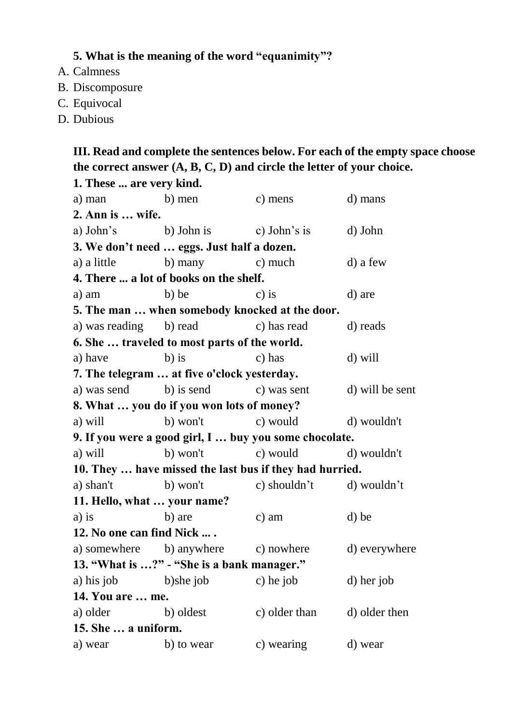# **5. What is the meaning of the word "equanimity"?**

- A. Calmness
- B. Discomposure
- C. Equivocal
- D. Dubious

# **III. Read and complete the sentences below. For each of the empty space choose the correct answer (A, B, C, D) and circle the letter of your choice.**

| 1. These  are very kind.    |                                              |                                                         |                 |
|-----------------------------|----------------------------------------------|---------------------------------------------------------|-----------------|
| a) man b) men               |                                              | c) mens                                                 | d) mans         |
| 2. Ann is  wife.            |                                              |                                                         |                 |
|                             | a) John's b) John is c) John's is            |                                                         | d) John         |
|                             | 3. We don't need  eggs. Just half a dozen.   |                                                         |                 |
|                             | a) a little b) many c) much                  |                                                         | d) a few        |
|                             | 4. There  a lot of books on the shelf.       |                                                         |                 |
| a) am                       | b) be                                        | $c)$ is                                                 | d) are          |
|                             |                                              | 5. The man  when somebody knocked at the door.          |                 |
|                             | a) was reading b) read c) has read           |                                                         | d) reads        |
|                             | 6. She  traveled to most parts of the world. |                                                         |                 |
| a) have                     | $b)$ is                                      | c) has                                                  | d) will         |
|                             | 7. The telegram  at five o'clock yesterday.  |                                                         |                 |
|                             | a) was send b) is send c) was sent           |                                                         | d) will be sent |
|                             | 8. What  you do if you won lots of money?    |                                                         |                 |
| a) will                     |                                              | b) won't c) would d) wouldn't                           |                 |
|                             |                                              | 9. If you were a good girl, I  buy you some chocolate.  |                 |
| a) will                     |                                              | b) won't c) would d) wouldn't                           |                 |
|                             |                                              | 10. They  have missed the last bus if they had hurried. |                 |
|                             |                                              | a) shan't b) won't c) shouldn't d) wouldn't             |                 |
| 11. Hello, what  your name? |                                              |                                                         |                 |
| $a)$ is                     | b) are                                       | $c)$ am                                                 | d) be           |
| 12. No one can find Nick    |                                              |                                                         |                 |
|                             |                                              | a) somewhere b) anywhere c) nowhere d) everywhere       |                 |
|                             | 13. "What is ?" - "She is a bank manager."   |                                                         |                 |
| a) his job b)she job        |                                              | c) he job                                               | d) her job      |
| 14. You are  me.            |                                              |                                                         |                 |
| a) older b) oldest          |                                              | c) older than                                           | d) older then   |
| 15. She  a uniform.         |                                              |                                                         |                 |
| a) wear                     | b) to wear                                   | c) wearing                                              | d) wear         |